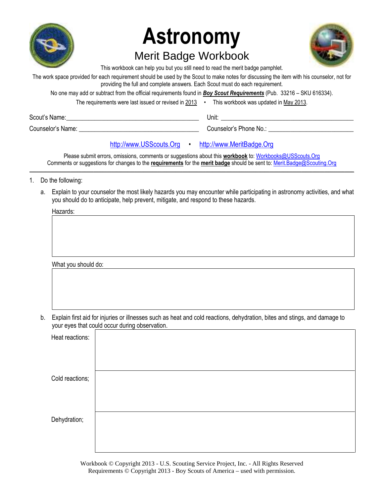

# **Astronomy** Merit Badge Workbook

This workbook can help you but you still need to read the merit badge pamphlet.

The work space provided for each requirement should be used by the Scout to make notes for discussing the item with his counselor, not for providing the full and complete answers. Each Scout must do each requirement.

No one may add or subtract from the official requirements found in *Boy Scout Requirements* (Pub. 33216 – SKU 616334). The requirements were last issued or revised in 2013 • This workbook was updated in May 2013.

| Scout's Name:     | Unit:                  |
|-------------------|------------------------|
| Counselor's Name: | Counselor's Phone No.: |
|                   |                        |

# [http://www.USScouts.Org](http://www.usscouts.org/) • [http://www.MeritBadge.Org](http://www.meritbadge.org/)

Please submit errors, omissions, comments or suggestions about this **workbook** to: [Workbooks@USScouts.Org](mailto:Workbooks@usscouts.org?subject=Astronomy%20Merit%20Badge%20Workbook) Comments or suggestions for changes to the **requirements** for the **merit badge** should be sent to: [Merit.Badge@Scouting.Org](mailto:merit.badge@scouting.org) *\_\_\_\_\_\_\_\_\_\_\_\_\_\_\_\_\_\_\_\_\_\_\_\_\_\_\_\_\_\_\_\_\_\_\_\_\_\_\_\_\_\_\_\_\_\_\_\_\_\_\_\_\_\_\_\_\_\_\_\_\_\_\_\_\_\_\_\_\_\_\_\_\_\_\_\_\_\_\_\_\_\_\_\_\_\_\_\_\_\_\_\_\_\_\_\_\_\_\_\_\_\_\_\_\_\_\_\_\_\_\_\_\_\_\_\_\_\_\_\_\_\_\_\_\_\_\_\_\_\_\_\_\_\_\_\_\_\_\_\_\_\_*

- 1. Do the following:
	- a. Explain to your counselor the most likely hazards you may encounter while participating in astronomy activities, and what you should do to anticipate, help prevent, mitigate, and respond to these hazards.

Hazards:

What you should do:

b. Explain first aid for injuries or illnesses such as heat and cold reactions, dehydration, bites and stings, and damage to your eyes that could occur during observation.

| Heat reactions: |  |
|-----------------|--|
| Cold reactions; |  |
|                 |  |
| Dehydration;    |  |
|                 |  |

Workbook © Copyright 2013 - U.S. Scouting Service Project, Inc. - All Rights Reserved Requirements © Copyright 2013 - Boy Scouts of America – used with permission.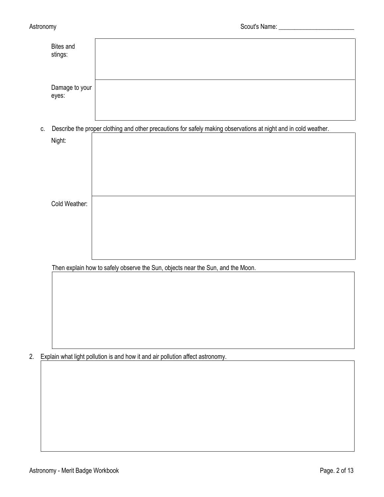|    | <b>Bites and</b><br>stings: |                                                                                                                 |
|----|-----------------------------|-----------------------------------------------------------------------------------------------------------------|
|    | Damage to your<br>eyes:     |                                                                                                                 |
| C. |                             | Describe the proper clothing and other precautions for safely making observations at night and in cold weather. |
|    | Night:                      |                                                                                                                 |
|    | Cold Weather:               |                                                                                                                 |
|    |                             |                                                                                                                 |
|    |                             | Then explain how to safely observe the Sun, objects near the Sun, and the Moon.                                 |
|    |                             |                                                                                                                 |

2. Explain what light pollution is and how it and air pollution affect astronomy.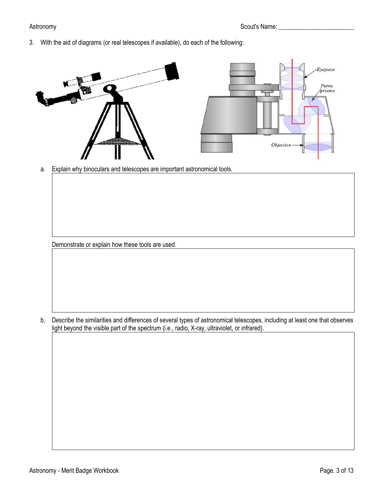3. With the aid of diagrams (or real telescopes if available), do each of the following:



a. Explain why binoculars and telescopes are important astronomical tools.

Demonstrate or explain how these tools are used.

b. Describe the similarities and differences of several types of astronomical telescopes, including at least one that observes light beyond the visible part of the spectrum (i.e., radio, X-ray, ultraviolet, or infrared).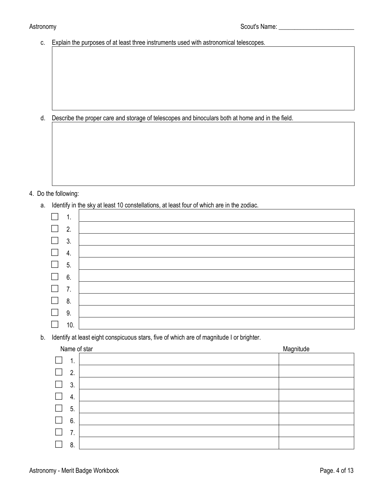c. Explain the purposes of at least three instruments used with astronomical telescopes.

d. Describe the proper care and storage of telescopes and binoculars both at home and in the field.

# 4. Do the following:

a. Identify in the sky at least 10 constellations, at least four of which are in the zodiac.

|                          | 1.                          |  |
|--------------------------|-----------------------------|--|
| $\Box$                   | $\overline{\phantom{a}}$ 2. |  |
| $\Box$                   | 3.                          |  |
| $\Box$                   | 4.                          |  |
| $\overline{\phantom{a}}$ | 5.                          |  |
| $\Box$ 6.                |                             |  |
| $\Box$                   | $\overline{7}$ .            |  |
| $\Box$ 8.                |                             |  |
| $\Box$                   | 9.                          |  |
|                          | 10.                         |  |

b. Identify at least eight conspicuous stars, five of which are of magnitude I or brighter.

| Name of star       | Magnitude |
|--------------------|-----------|
| 1<br>ι.            |           |
| 2.                 |           |
| 3.                 |           |
| 4.                 |           |
| 5.                 |           |
| 6.<br>$\mathbf{L}$ |           |
| 7.                 |           |
| 8.                 |           |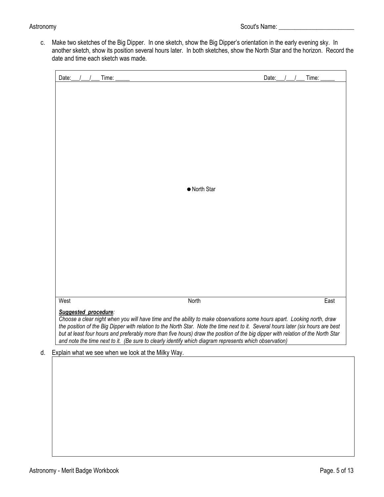c. Make two sketches of the Big Dipper. In one sketch, show the Big Dipper's orientation in the early evening sky. In another sketch, show its position several hours later. In both sketches, show the North Star and the horizon. Record the date and time each sketch was made.

| Date:<br>Time:                                        |                                                                                                                                                                                                                                            | Time:<br>Date: |
|-------------------------------------------------------|--------------------------------------------------------------------------------------------------------------------------------------------------------------------------------------------------------------------------------------------|----------------|
|                                                       |                                                                                                                                                                                                                                            |                |
|                                                       |                                                                                                                                                                                                                                            |                |
|                                                       |                                                                                                                                                                                                                                            |                |
|                                                       |                                                                                                                                                                                                                                            |                |
|                                                       |                                                                                                                                                                                                                                            |                |
|                                                       |                                                                                                                                                                                                                                            |                |
|                                                       |                                                                                                                                                                                                                                            |                |
|                                                       | • North Star                                                                                                                                                                                                                               |                |
|                                                       |                                                                                                                                                                                                                                            |                |
|                                                       |                                                                                                                                                                                                                                            |                |
|                                                       |                                                                                                                                                                                                                                            |                |
|                                                       |                                                                                                                                                                                                                                            |                |
|                                                       |                                                                                                                                                                                                                                            |                |
|                                                       |                                                                                                                                                                                                                                            |                |
|                                                       |                                                                                                                                                                                                                                            |                |
|                                                       |                                                                                                                                                                                                                                            |                |
| West                                                  | North                                                                                                                                                                                                                                      | East           |
| Suggested procedure:                                  | Choose a clear night when you will have time and the ability to make observations some hours apart. Looking north, draw                                                                                                                    |                |
|                                                       | the position of the Big Dipper with relation to the North Star. Note the time next to it. Several hours later (six hours are best                                                                                                          |                |
|                                                       | but at least four hours and preferably more than five hours) draw the position of the big dipper with relation of the North Star<br>and note the time next to it. (Be sure to clearly identify which diagram represents which observation) |                |
| d. Explain what we see when we look at the Milky Way. |                                                                                                                                                                                                                                            |                |
|                                                       |                                                                                                                                                                                                                                            |                |
|                                                       |                                                                                                                                                                                                                                            |                |
|                                                       |                                                                                                                                                                                                                                            |                |
|                                                       |                                                                                                                                                                                                                                            |                |
|                                                       |                                                                                                                                                                                                                                            |                |
|                                                       |                                                                                                                                                                                                                                            |                |
|                                                       |                                                                                                                                                                                                                                            |                |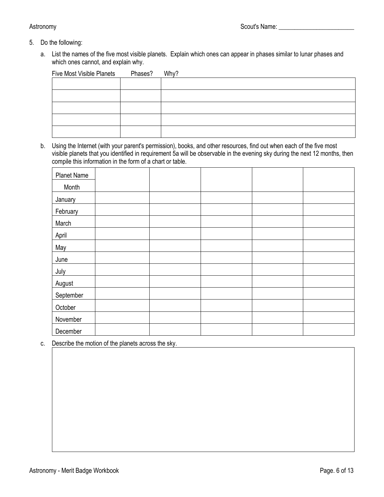- 5. Do the following:
	- a. List the names of the five most visible planets. Explain which ones can appear in phases similar to lunar phases and which ones cannot, and explain why.

| <b>Five Most Visible Planets</b> | Phases? | Why? |
|----------------------------------|---------|------|
|                                  |         |      |
|                                  |         |      |
|                                  |         |      |
|                                  |         |      |
|                                  |         |      |

b. Using the Internet (with your parent's permission), books, and other resources, find out when each of the five most visible planets that you identified in requirement 5a will be observable in the evening sky during the next 12 months, then compile this information in the form of a chart or table.

| <b>Planet Name</b> |  |  |  |
|--------------------|--|--|--|
| Month              |  |  |  |
| January            |  |  |  |
| February           |  |  |  |
| March              |  |  |  |
| April              |  |  |  |
| May                |  |  |  |
| June               |  |  |  |
| July               |  |  |  |
| August             |  |  |  |
| September          |  |  |  |
| October            |  |  |  |
| November           |  |  |  |
| December           |  |  |  |

c. Describe the motion of the planets across the sky.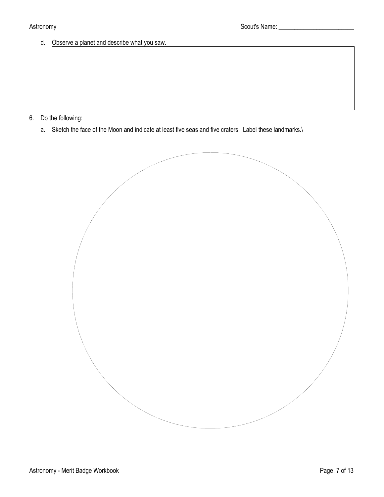d. Observe a planet and describe what you saw.

- 6. Do the following:
	- a. Sketch the face of the Moon and indicate at least five seas and five craters. Label these landmarks.\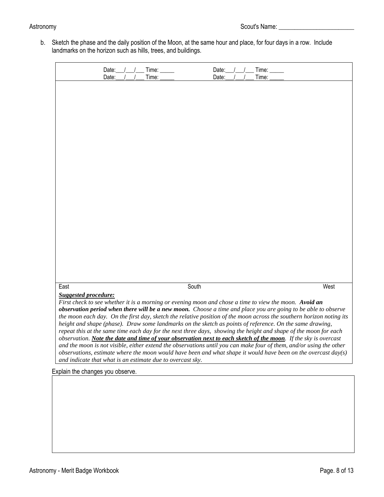b. Sketch the phase and the daily position of the Moon, at the same hour and place, for four days in a row. Include landmarks on the horizon such as hills, trees, and buildings.

| Date:<br>Date:                                             | Time:<br>Time: | Date:<br>Time:<br>Time:<br>Date:                                                                                                                                                                                                       |      |
|------------------------------------------------------------|----------------|----------------------------------------------------------------------------------------------------------------------------------------------------------------------------------------------------------------------------------------|------|
|                                                            |                |                                                                                                                                                                                                                                        |      |
|                                                            |                |                                                                                                                                                                                                                                        |      |
|                                                            |                |                                                                                                                                                                                                                                        |      |
|                                                            |                |                                                                                                                                                                                                                                        |      |
|                                                            |                |                                                                                                                                                                                                                                        |      |
|                                                            |                |                                                                                                                                                                                                                                        |      |
|                                                            |                |                                                                                                                                                                                                                                        |      |
|                                                            |                |                                                                                                                                                                                                                                        |      |
|                                                            |                |                                                                                                                                                                                                                                        |      |
|                                                            |                |                                                                                                                                                                                                                                        |      |
|                                                            |                |                                                                                                                                                                                                                                        |      |
|                                                            |                |                                                                                                                                                                                                                                        |      |
| East                                                       | South          |                                                                                                                                                                                                                                        | West |
| <b>Suggested procedure:</b>                                |                | First check to see whether it is a morning or evening moon and chose a time to view the moon. Avoid an                                                                                                                                 |      |
|                                                            |                | observation period when there will be a new moon. Choose a time and place you are going to be able to observe                                                                                                                          |      |
|                                                            |                | the moon each day. On the first day, sketch the relative position of the moon across the southern horizon noting its<br>height and shape (phase). Draw some landmarks on the sketch as points of reference. On the same drawing,       |      |
|                                                            |                | repeat this at the same time each day for the next three days, showing the height and shape of the moon for each                                                                                                                       |      |
|                                                            |                | observation. Note the date and time of your observation next to each sketch of the moon. If the sky is overcast<br>and the moon is not visible, either extend the observations until you can make four of them, and/or using the other |      |
| and indicate that what is an estimate due to overcast sky. |                | observations, estimate where the moon would have been and what shape it would have been on the overcast day(s)                                                                                                                         |      |
| Explain the changes you observe.                           |                |                                                                                                                                                                                                                                        |      |
|                                                            |                |                                                                                                                                                                                                                                        |      |
|                                                            |                |                                                                                                                                                                                                                                        |      |
|                                                            |                |                                                                                                                                                                                                                                        |      |
|                                                            |                |                                                                                                                                                                                                                                        |      |
|                                                            |                |                                                                                                                                                                                                                                        |      |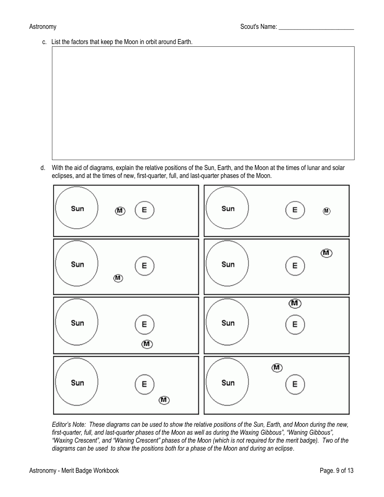c. List the factors that keep the Moon in orbit around Earth.

d. With the aid of diagrams, explain the relative positions of the Sun, Earth, and the Moon at the times of lunar and solar eclipses, and at the times of new, first-quarter, full, and last-quarter phases of the Moon.



*Editor's Note: These diagrams can be used to show the relative positions of the Sun, Earth, and Moon during the new, first-quarter, full, and last-quarter phases of the Moon as well as during the Waxing Gibbous", "Waning Gibbous", "Waxing Crescent", and "Waning Crescent" phases of the Moon (which is not required for the merit badge). Two of the diagrams can be used to show the positions both for a phase of the Moon and during an eclipse*.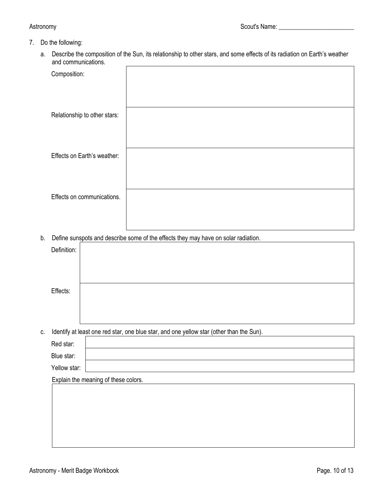# 7. Do the following:

a. Describe the composition of the Sun, its relationship to other stars, and some effects of its radiation on Earth's weather and communications.

| and communications.          |  |
|------------------------------|--|
| Composition:                 |  |
|                              |  |
| Relationship to other stars: |  |
|                              |  |
| Effects on Earth's weather:  |  |
|                              |  |
| Effects on communications.   |  |
|                              |  |
|                              |  |

b. Define sunspots and describe some of the effects they may have on solar radiation.

|    | Definition:  |                                                                                          |
|----|--------------|------------------------------------------------------------------------------------------|
|    |              |                                                                                          |
|    |              |                                                                                          |
|    | Effects:     |                                                                                          |
|    |              |                                                                                          |
|    |              |                                                                                          |
| C. |              | Identify at least one red star, one blue star, and one yellow star (other than the Sun). |
|    | Red star:    |                                                                                          |
|    | Blue star:   |                                                                                          |
|    | Yellow star: |                                                                                          |
|    |              | Explain the meaning of these colors.                                                     |
|    |              |                                                                                          |
|    |              |                                                                                          |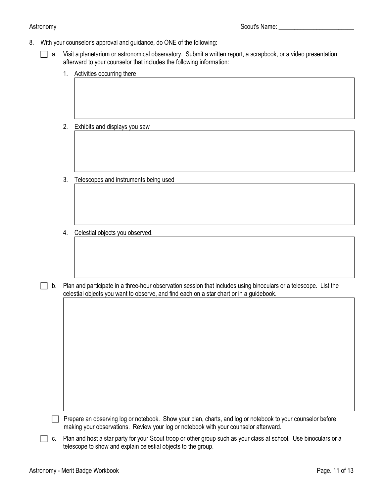8. With your counselor's approval and guidance, do ONE of the following:

 $\Box$  a. Visit a planetarium or astronomical observatory. Submit a written report, a scrapbook, or a video presentation afterward to your counselor that includes the following information:

- 1. Activities occurring there
- 2. Exhibits and displays you saw
- 3. Telescopes and instruments being used
- 4. Celestial objects you observed.
- $\Box$  b. Plan and participate in a three-hour observation session that includes using binoculars or a telescope. List the celestial objects you want to observe, and find each on a star chart or in a guidebook.

- $\Box$  Prepare an observing log or notebook. Show your plan, charts, and log or notebook to your counselor before making your observations. Review your log or notebook with your counselor afterward.
- $\Box$  c. Plan and host a star party for your Scout troop or other group such as your class at school. Use binoculars or a telescope to show and explain celestial objects to the group.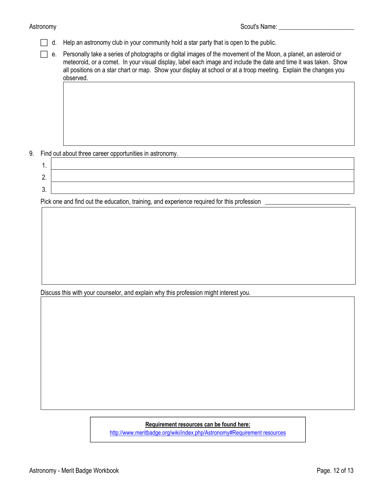- $\Box$  d. Help an astronomy club in your community hold a star party that is open to the public.
- $\Box$  e. Personally take a series of photographs or digital images of the movement of the Moon, a planet, an asteroid or meteoroid, or a comet. In your visual display, label each image and include the date and time it was taken. Show all positions on a star chart or map. Show your display at school or at a troop meeting. Explain the changes you observed.

9. Find out about three career opportunities in astronomy.

| . . |  |
|-----|--|
|     |  |
| v.  |  |

Pick one and find out the education, training, and experience required for this profession

Discuss this with your counselor, and explain why this profession might interest you.

# **Requirement resources can be found here:**

[http://www.meritbadge.org/wiki/index.php/Astronomy#Requirement resources](http://www.meritbadge.org/wiki/index.php/Astronomy#Requirement_resources)